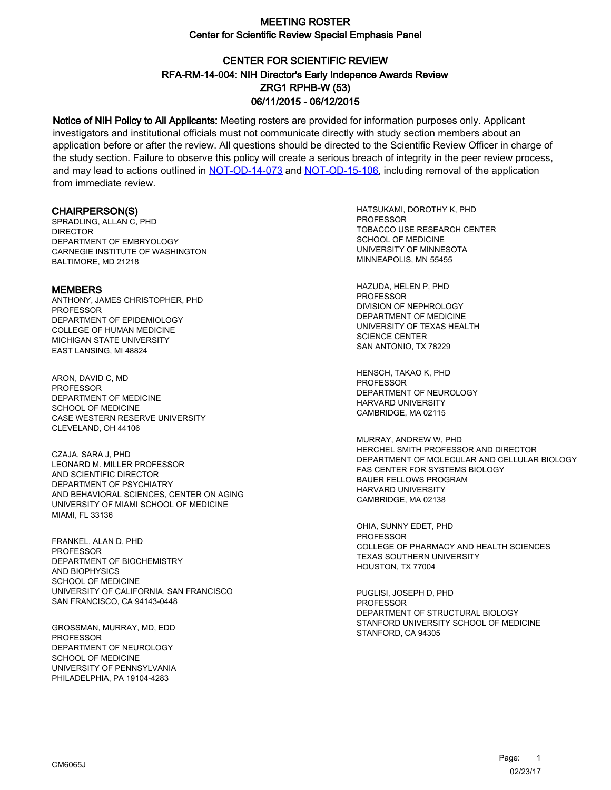# CENTER FOR SCIENTIFIC REVIEW ZRG1 RPHB-W (53) 06/11/2015 - 06/12/2015 RFA-RM-14-004: NIH Director's Early Indepence Awards Review

Notice of NIH Policy to All Applicants: Meeting rosters are provided for information purposes only. Applicant investigators and institutional officials must not communicate directly with study section members about an application before or after the review. All questions should be directed to the Scientific Review Officer in charge of the study section. Failure to observe this policy will create a serious breach of integrity in the peer review process, and may lead to actions outlined in [NOT-OD-14-073](https://grants.nih.gov/grants/guide/notice-files/NOT-OD-14-073.html) and [NOT-OD-15-106,](https://grants.nih.gov/grants/guide/notice-files/NOT-OD-15-106.html) including removal of the application from immediate review.

#### CHAIRPERSON(S)

SPRADLING, ALLAN C, PHD DIRECTOR DEPARTMENT OF EMBRYOLOGY CARNEGIE INSTITUTE OF WASHINGTON BALTIMORE, MD 21218

#### **MEMBERS**

ANTHONY, JAMES CHRISTOPHER, PHD PROFESSOR DEPARTMENT OF EPIDEMIOLOGY COLLEGE OF HUMAN MEDICINE MICHIGAN STATE UNIVERSITY EAST LANSING, MI 48824

ARON, DAVID C, MD PROFESSOR DEPARTMENT OF MEDICINE SCHOOL OF MEDICINE CASE WESTERN RESERVE UNIVERSITY CLEVELAND, OH 44106

CZAJA, SARA J, PHD LEONARD M. MILLER PROFESSOR AND SCIENTIFIC DIRECTOR DEPARTMENT OF PSYCHIATRY AND BEHAVIORAL SCIENCES, CENTER ON AGING UNIVERSITY OF MIAMI SCHOOL OF MEDICINE MIAMI, FL 33136

FRANKEL, ALAN D, PHD PROFESSOR DEPARTMENT OF BIOCHEMISTRY AND BIOPHYSICS SCHOOL OF MEDICINE UNIVERSITY OF CALIFORNIA, SAN FRANCISCO SAN FRANCISCO, CA 94143-0448

GROSSMAN, MURRAY, MD, EDD PROFESSOR DEPARTMENT OF NEUROLOGY SCHOOL OF MEDICINE UNIVERSITY OF PENNSYLVANIA PHILADELPHIA, PA 19104-4283

HATSUKAMI, DOROTHY K, PHD PROFESSOR TOBACCO USE RESEARCH CENTER SCHOOL OF MEDICINE UNIVERSITY OF MINNESOTA MINNEAPOLIS, MN 55455

HAZUDA, HELEN P, PHD PROFESSOR DIVISION OF NEPHROLOGY DEPARTMENT OF MEDICINE UNIVERSITY OF TEXAS HEALTH SCIENCE CENTER SAN ANTONIO, TX 78229

HENSCH, TAKAO K, PHD **PROFESSOR** DEPARTMENT OF NEUROLOGY HARVARD UNIVERSITY CAMBRIDGE, MA 02115

MURRAY, ANDREW W, PHD HERCHEL SMITH PROFESSOR AND DIRECTOR DEPARTMENT OF MOLECULAR AND CELLULAR BIOLOGY FAS CENTER FOR SYSTEMS BIOLOGY BAUER FELLOWS PROGRAM HARVARD UNIVERSITY CAMBRIDGE, MA 02138

OHIA, SUNNY EDET, PHD **PROFESSOR** COLLEGE OF PHARMACY AND HEALTH SCIENCES TEXAS SOUTHERN UNIVERSITY HOUSTON, TX 77004

PUGLISI, JOSEPH D, PHD **PROFESSOR** DEPARTMENT OF STRUCTURAL BIOLOGY STANFORD UNIVERSITY SCHOOL OF MEDICINE STANFORD, CA 94305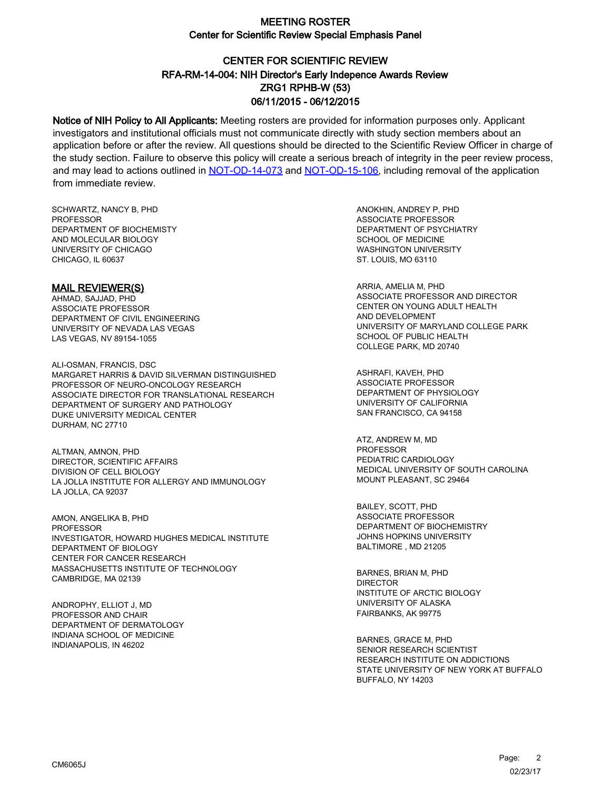# CENTER FOR SCIENTIFIC REVIEW ZRG1 RPHB-W (53) 06/11/2015 - 06/12/2015 RFA-RM-14-004: NIH Director's Early Indepence Awards Review

Notice of NIH Policy to All Applicants: Meeting rosters are provided for information purposes only. Applicant investigators and institutional officials must not communicate directly with study section members about an application before or after the review. All questions should be directed to the Scientific Review Officer in charge of the study section. Failure to observe this policy will create a serious breach of integrity in the peer review process, and may lead to actions outlined in [NOT-OD-14-073](https://grants.nih.gov/grants/guide/notice-files/NOT-OD-14-073.html) and [NOT-OD-15-106,](https://grants.nih.gov/grants/guide/notice-files/NOT-OD-15-106.html) including removal of the application from immediate review.

SCHWARTZ, NANCY B, PHD **PROFESSOR** DEPARTMENT OF BIOCHEMISTY AND MOLECULAR BIOLOGY UNIVERSITY OF CHICAGO CHICAGO, IL 60637

#### MAIL REVIEWER(S)

AHMAD, SAJJAD, PHD ASSOCIATE PROFESSOR DEPARTMENT OF CIVIL ENGINEERING UNIVERSITY OF NEVADA LAS VEGAS LAS VEGAS, NV 89154-1055

ALI-OSMAN, FRANCIS, DSC MARGARET HARRIS & DAVID SILVERMAN DISTINGUISHED PROFESSOR OF NEURO-ONCOLOGY RESEARCH ASSOCIATE DIRECTOR FOR TRANSLATIONAL RESEARCH DEPARTMENT OF SURGERY AND PATHOLOGY DUKE UNIVERSITY MEDICAL CENTER DURHAM, NC 27710

ALTMAN, AMNON, PHD DIRECTOR, SCIENTIFIC AFFAIRS DIVISION OF CELL BIOLOGY LA JOLLA INSTITUTE FOR ALLERGY AND IMMUNOLOGY LA JOLLA, CA 92037

AMON, ANGELIKA B, PHD PROFESSOR INVESTIGATOR, HOWARD HUGHES MEDICAL INSTITUTE DEPARTMENT OF BIOLOGY CENTER FOR CANCER RESEARCH MASSACHUSETTS INSTITUTE OF TECHNOLOGY CAMBRIDGE, MA 02139

ANDROPHY, ELLIOT J, MD PROFESSOR AND CHAIR DEPARTMENT OF DERMATOLOGY INDIANA SCHOOL OF MEDICINE INDIANAPOLIS, IN 46202

ANOKHIN, ANDREY P, PHD ASSOCIATE PROFESSOR DEPARTMENT OF PSYCHIATRY SCHOOL OF MEDICINE WASHINGTON UNIVERSITY ST. LOUIS, MO 63110

ARRIA, AMELIA M, PHD ASSOCIATE PROFESSOR AND DIRECTOR CENTER ON YOUNG ADULT HEALTH AND DEVELOPMENT UNIVERSITY OF MARYLAND COLLEGE PARK SCHOOL OF PUBLIC HEALTH COLLEGE PARK, MD 20740

ASHRAFI, KAVEH, PHD ASSOCIATE PROFESSOR DEPARTMENT OF PHYSIOLOGY UNIVERSITY OF CALIFORNIA SAN FRANCISCO, CA 94158

ATZ, ANDREW M, MD PROFESSOR PEDIATRIC CARDIOLOGY MEDICAL UNIVERSITY OF SOUTH CAROLINA MOUNT PLEASANT, SC 29464

BAILEY, SCOTT, PHD ASSOCIATE PROFESSOR DEPARTMENT OF BIOCHEMISTRY JOHNS HOPKINS UNIVERSITY BALTIMORE , MD 21205

BARNES, BRIAN M, PHD DIRECTOR INSTITUTE OF ARCTIC BIOLOGY UNIVERSITY OF ALASKA FAIRBANKS, AK 99775

BARNES, GRACE M, PHD SENIOR RESEARCH SCIENTIST RESEARCH INSTITUTE ON ADDICTIONS STATE UNIVERSITY OF NEW YORK AT BUFFALO BUFFALO, NY 14203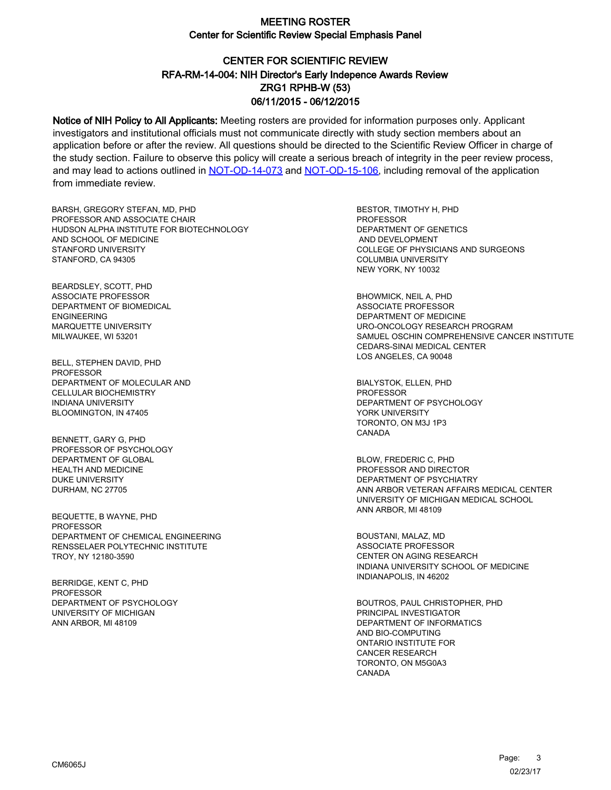# CENTER FOR SCIENTIFIC REVIEW ZRG1 RPHB-W (53) 06/11/2015 - 06/12/2015 RFA-RM-14-004: NIH Director's Early Indepence Awards Review

Notice of NIH Policy to All Applicants: Meeting rosters are provided for information purposes only. Applicant investigators and institutional officials must not communicate directly with study section members about an application before or after the review. All questions should be directed to the Scientific Review Officer in charge of the study section. Failure to observe this policy will create a serious breach of integrity in the peer review process, and may lead to actions outlined in [NOT-OD-14-073](https://grants.nih.gov/grants/guide/notice-files/NOT-OD-14-073.html) and [NOT-OD-15-106,](https://grants.nih.gov/grants/guide/notice-files/NOT-OD-15-106.html) including removal of the application from immediate review.

BARSH, GREGORY STEFAN, MD, PHD PROFESSOR AND ASSOCIATE CHAIR HUDSON ALPHA INSTITUTE FOR BIOTECHNOLOGY AND SCHOOL OF MEDICINE STANFORD UNIVERSITY STANFORD, CA 94305

BEARDSLEY, SCOTT, PHD ASSOCIATE PROFESSOR DEPARTMENT OF BIOMEDICAL ENGINEERING MARQUETTE UNIVERSITY MILWAUKEE, WI 53201

BELL, STEPHEN DAVID, PHD **PROFESSOR** DEPARTMENT OF MOLECULAR AND CELLULAR BIOCHEMISTRY INDIANA UNIVERSITY BLOOMINGTON, IN 47405

BENNETT, GARY G, PHD PROFESSOR OF PSYCHOLOGY DEPARTMENT OF GLOBAL HEALTH AND MEDICINE DUKE UNIVERSITY DURHAM, NC 27705

BEQUETTE, B WAYNE, PHD PROFESSOR DEPARTMENT OF CHEMICAL ENGINEERING RENSSELAER POLYTECHNIC INSTITUTE TROY, NY 12180-3590

BERRIDGE, KENT C, PHD PROFESSOR DEPARTMENT OF PSYCHOLOGY UNIVERSITY OF MICHIGAN ANN ARBOR, MI 48109

BESTOR, TIMOTHY H, PHD **PROFESSOR** DEPARTMENT OF GENETICS AND DEVELOPMENT COLLEGE OF PHYSICIANS AND SURGEONS COLUMBIA UNIVERSITY NEW YORK, NY 10032

BHOWMICK, NEIL A, PHD ASSOCIATE PROFESSOR DEPARTMENT OF MEDICINE URO-ONCOLOGY RESEARCH PROGRAM SAMUEL OSCHIN COMPREHENSIVE CANCER INSTITUTE CEDARS-SINAI MEDICAL CENTER LOS ANGELES, CA 90048

BIALYSTOK, ELLEN, PHD PROFESSOR DEPARTMENT OF PSYCHOLOGY YORK UNIVERSITY TORONTO, ON M3J 1P3 CANADA

BLOW, FREDERIC C, PHD PROFESSOR AND DIRECTOR DEPARTMENT OF PSYCHIATRY ANN ARBOR VETERAN AFFAIRS MEDICAL CENTER UNIVERSITY OF MICHIGAN MEDICAL SCHOOL ANN ARBOR, MI 48109

BOUSTANI, MALAZ, MD ASSOCIATE PROFESSOR CENTER ON AGING RESEARCH INDIANA UNIVERSITY SCHOOL OF MEDICINE INDIANAPOLIS, IN 46202

BOUTROS, PAUL CHRISTOPHER, PHD PRINCIPAL INVESTIGATOR DEPARTMENT OF INFORMATICS AND BIO-COMPUTING ONTARIO INSTITUTE FOR CANCER RESEARCH TORONTO, ON M5G0A3 CANADA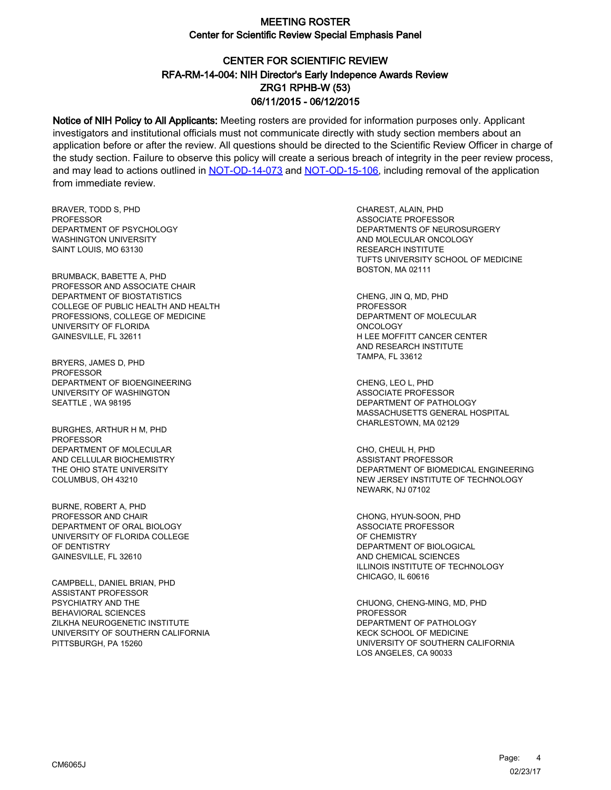# CENTER FOR SCIENTIFIC REVIEW ZRG1 RPHB-W (53) 06/11/2015 - 06/12/2015 RFA-RM-14-004: NIH Director's Early Indepence Awards Review

Notice of NIH Policy to All Applicants: Meeting rosters are provided for information purposes only. Applicant investigators and institutional officials must not communicate directly with study section members about an application before or after the review. All questions should be directed to the Scientific Review Officer in charge of the study section. Failure to observe this policy will create a serious breach of integrity in the peer review process, and may lead to actions outlined in [NOT-OD-14-073](https://grants.nih.gov/grants/guide/notice-files/NOT-OD-14-073.html) and [NOT-OD-15-106,](https://grants.nih.gov/grants/guide/notice-files/NOT-OD-15-106.html) including removal of the application from immediate review.

BRAVER, TODD S, PHD **PROFESSOR** DEPARTMENT OF PSYCHOLOGY WASHINGTON UNIVERSITY SAINT LOUIS, MO 63130

BRUMBACK, BABETTE A, PHD PROFESSOR AND ASSOCIATE CHAIR DEPARTMENT OF BIOSTATISTICS COLLEGE OF PUBLIC HEALTH AND HEALTH PROFESSIONS, COLLEGE OF MEDICINE UNIVERSITY OF FLORIDA GAINESVILLE, FL 32611

BRYERS, JAMES D, PHD **PROFESSOR** DEPARTMENT OF BIOENGINEERING UNIVERSITY OF WASHINGTON SEATTLE , WA 98195

BURGHES, ARTHUR H M, PHD PROFESSOR DEPARTMENT OF MOLECULAR AND CELLULAR BIOCHEMISTRY THE OHIO STATE UNIVERSITY COLUMBUS, OH 43210

BURNE, ROBERT A, PHD PROFESSOR AND CHAIR DEPARTMENT OF ORAL BIOLOGY UNIVERSITY OF FLORIDA COLLEGE OF DENTISTRY GAINESVILLE, FL 32610

CAMPBELL, DANIEL BRIAN, PHD ASSISTANT PROFESSOR PSYCHIATRY AND THE BEHAVIORAL SCIENCES ZILKHA NEUROGENETIC INSTITUTE UNIVERSITY OF SOUTHERN CALIFORNIA PITTSBURGH, PA 15260

CHAREST, ALAIN, PHD ASSOCIATE PROFESSOR DEPARTMENTS OF NEUROSURGERY AND MOLECULAR ONCOLOGY RESEARCH INSTITUTE TUFTS UNIVERSITY SCHOOL OF MEDICINE BOSTON, MA 02111

CHENG, JIN Q, MD, PHD PROFESSOR DEPARTMENT OF MOLECULAR **ONCOLOGY** H LEE MOFFITT CANCER CENTER AND RESEARCH INSTITUTE TAMPA, FL 33612

CHENG, LEO L, PHD ASSOCIATE PROFESSOR DEPARTMENT OF PATHOLOGY MASSACHUSETTS GENERAL HOSPITAL CHARLESTOWN, MA 02129

CHO, CHEUL H, PHD ASSISTANT PROFESSOR DEPARTMENT OF BIOMEDICAL ENGINEERING NEW JERSEY INSTITUTE OF TECHNOLOGY NEWARK, NJ 07102

CHONG, HYUN-SOON, PHD ASSOCIATE PROFESSOR OF CHEMISTRY DEPARTMENT OF BIOLOGICAL AND CHEMICAL SCIENCES ILLINOIS INSTITUTE OF TECHNOLOGY CHICAGO, IL 60616

CHUONG, CHENG-MING, MD, PHD PROFESSOR DEPARTMENT OF PATHOLOGY KECK SCHOOL OF MEDICINE UNIVERSITY OF SOUTHERN CALIFORNIA LOS ANGELES, CA 90033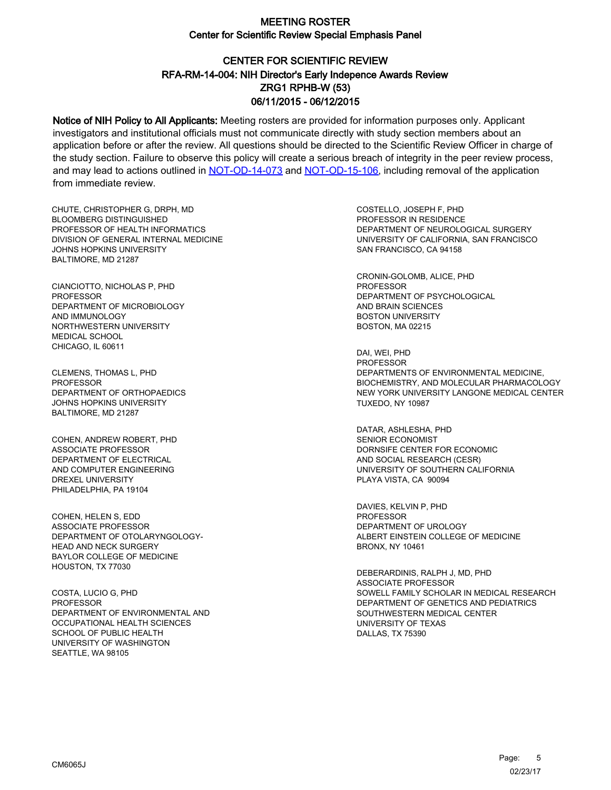# CENTER FOR SCIENTIFIC REVIEW ZRG1 RPHB-W (53) 06/11/2015 - 06/12/2015 RFA-RM-14-004: NIH Director's Early Indepence Awards Review

Notice of NIH Policy to All Applicants: Meeting rosters are provided for information purposes only. Applicant investigators and institutional officials must not communicate directly with study section members about an application before or after the review. All questions should be directed to the Scientific Review Officer in charge of the study section. Failure to observe this policy will create a serious breach of integrity in the peer review process, and may lead to actions outlined in [NOT-OD-14-073](https://grants.nih.gov/grants/guide/notice-files/NOT-OD-14-073.html) and [NOT-OD-15-106,](https://grants.nih.gov/grants/guide/notice-files/NOT-OD-15-106.html) including removal of the application from immediate review.

CHUTE, CHRISTOPHER G, DRPH, MD BLOOMBERG DISTINGUISHED PROFESSOR OF HEALTH INFORMATICS DIVISION OF GENERAL INTERNAL MEDICINE JOHNS HOPKINS UNIVERSITY BALTIMORE, MD 21287

CIANCIOTTO, NICHOLAS P, PHD PROFESSOR DEPARTMENT OF MICROBIOLOGY AND IMMUNOLOGY NORTHWESTERN UNIVERSITY MEDICAL SCHOOL CHICAGO, IL 60611

CLEMENS, THOMAS L, PHD **PROFESSOR** DEPARTMENT OF ORTHOPAEDICS JOHNS HOPKINS UNIVERSITY BALTIMORE, MD 21287

COHEN, ANDREW ROBERT, PHD ASSOCIATE PROFESSOR DEPARTMENT OF ELECTRICAL AND COMPUTER ENGINEERING DREXEL UNIVERSITY PHILADELPHIA, PA 19104

COHEN, HELEN S, EDD ASSOCIATE PROFESSOR DEPARTMENT OF OTOLARYNGOLOGY-HEAD AND NECK SURGERY BAYLOR COLLEGE OF MEDICINE HOUSTON, TX 77030

COSTA, LUCIO G, PHD PROFESSOR DEPARTMENT OF ENVIRONMENTAL AND OCCUPATIONAL HEALTH SCIENCES SCHOOL OF PUBLIC HEALTH UNIVERSITY OF WASHINGTON SEATTLE, WA 98105

COSTELLO, JOSEPH F, PHD PROFESSOR IN RESIDENCE DEPARTMENT OF NEUROLOGICAL SURGERY UNIVERSITY OF CALIFORNIA, SAN FRANCISCO SAN FRANCISCO, CA 94158

CRONIN-GOLOMB, ALICE, PHD PROFESSOR DEPARTMENT OF PSYCHOLOGICAL AND BRAIN SCIENCES BOSTON UNIVERSITY BOSTON, MA 02215

DAI, WEI, PHD PROFESSOR DEPARTMENTS OF ENVIRONMENTAL MEDICINE, BIOCHEMISTRY, AND MOLECULAR PHARMACOLOGY NEW YORK UNIVERSITY LANGONE MEDICAL CENTER TUXEDO, NY 10987

DATAR, ASHLESHA, PHD SENIOR ECONOMIST DORNSIFE CENTER FOR ECONOMIC AND SOCIAL RESEARCH (CESR) UNIVERSITY OF SOUTHERN CALIFORNIA PLAYA VISTA, CA 90094

DAVIES, KELVIN P, PHD PROFESSOR DEPARTMENT OF UROLOGY ALBERT EINSTEIN COLLEGE OF MEDICINE BRONX, NY 10461

DEBERARDINIS, RALPH J, MD, PHD ASSOCIATE PROFESSOR SOWELL FAMILY SCHOLAR IN MEDICAL RESEARCH DEPARTMENT OF GENETICS AND PEDIATRICS SOUTHWESTERN MEDICAL CENTER UNIVERSITY OF TEXAS DALLAS, TX 75390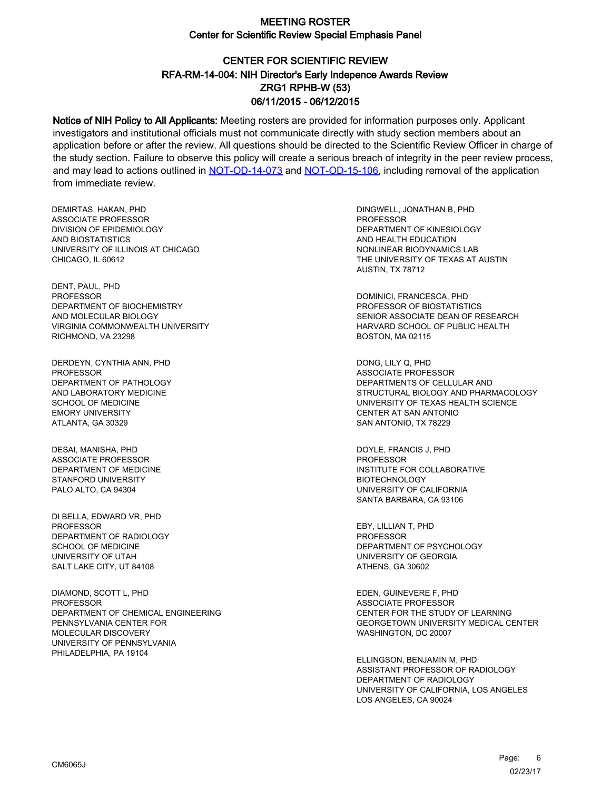# CENTER FOR SCIENTIFIC REVIEW ZRG1 RPHB-W (53) 06/11/2015 - 06/12/2015 RFA-RM-14-004: NIH Director's Early Indepence Awards Review

Notice of NIH Policy to All Applicants: Meeting rosters are provided for information purposes only. Applicant investigators and institutional officials must not communicate directly with study section members about an application before or after the review. All questions should be directed to the Scientific Review Officer in charge of the study section. Failure to observe this policy will create a serious breach of integrity in the peer review process, and may lead to actions outlined in [NOT-OD-14-073](https://grants.nih.gov/grants/guide/notice-files/NOT-OD-14-073.html) and [NOT-OD-15-106,](https://grants.nih.gov/grants/guide/notice-files/NOT-OD-15-106.html) including removal of the application from immediate review.

DEMIRTAS, HAKAN, PHD ASSOCIATE PROFESSOR DIVISION OF EPIDEMIOLOGY AND BIOSTATISTICS UNIVERSITY OF ILLINOIS AT CHICAGO CHICAGO, IL 60612

DENT, PAUL, PHD PROFESSOR DEPARTMENT OF BIOCHEMISTRY AND MOLECULAR BIOLOGY VIRGINIA COMMONWEALTH UNIVERSITY RICHMOND, VA 23298

DERDEYN, CYNTHIA ANN, PHD **PROFESSOR** DEPARTMENT OF PATHOLOGY AND LABORATORY MEDICINE SCHOOL OF MEDICINE EMORY UNIVERSITY ATLANTA, GA 30329

DESAI, MANISHA, PHD ASSOCIATE PROFESSOR DEPARTMENT OF MEDICINE STANFORD UNIVERSITY PALO ALTO, CA 94304

DI BELLA, EDWARD VR, PHD PROFESSOR DEPARTMENT OF RADIOLOGY SCHOOL OF MEDICINE UNIVERSITY OF UTAH SALT LAKE CITY, UT 84108

DIAMOND, SCOTT L, PHD **PROFESSOR** DEPARTMENT OF CHEMICAL ENGINEERING PENNSYLVANIA CENTER FOR MOLECULAR DISCOVERY UNIVERSITY OF PENNSYLVANIA PHILADELPHIA, PA 19104

DINGWELL, JONATHAN B, PHD **PROFESSOR** DEPARTMENT OF KINESIOLOGY AND HEALTH EDUCATION NONLINEAR BIODYNAMICS LAB THE UNIVERSITY OF TEXAS AT AUSTIN AUSTIN, TX 78712

DOMINICI, FRANCESCA, PHD PROFESSOR OF BIOSTATISTICS SENIOR ASSOCIATE DEAN OF RESEARCH HARVARD SCHOOL OF PUBLIC HEALTH BOSTON, MA 02115

DONG, LILY Q, PHD ASSOCIATE PROFESSOR DEPARTMENTS OF CELLULAR AND STRUCTURAL BIOLOGY AND PHARMACOLOGY UNIVERSITY OF TEXAS HEALTH SCIENCE CENTER AT SAN ANTONIO SAN ANTONIO, TX 78229

DOYLE, FRANCIS J, PHD PROFESSOR INSTITUTE FOR COLLABORATIVE **BIOTECHNOLOGY** UNIVERSITY OF CALIFORNIA SANTA BARBARA, CA 93106

EBY, LILLIAN T, PHD **PROFFSSOR** DEPARTMENT OF PSYCHOLOGY UNIVERSITY OF GEORGIA ATHENS, GA 30602

EDEN, GUINEVERE F, PHD ASSOCIATE PROFESSOR CENTER FOR THE STUDY OF LEARNING GEORGETOWN UNIVERSITY MEDICAL CENTER WASHINGTON, DC 20007

ELLINGSON, BENJAMIN M, PHD ASSISTANT PROFESSOR OF RADIOLOGY DEPARTMENT OF RADIOLOGY UNIVERSITY OF CALIFORNIA, LOS ANGELES LOS ANGELES, CA 90024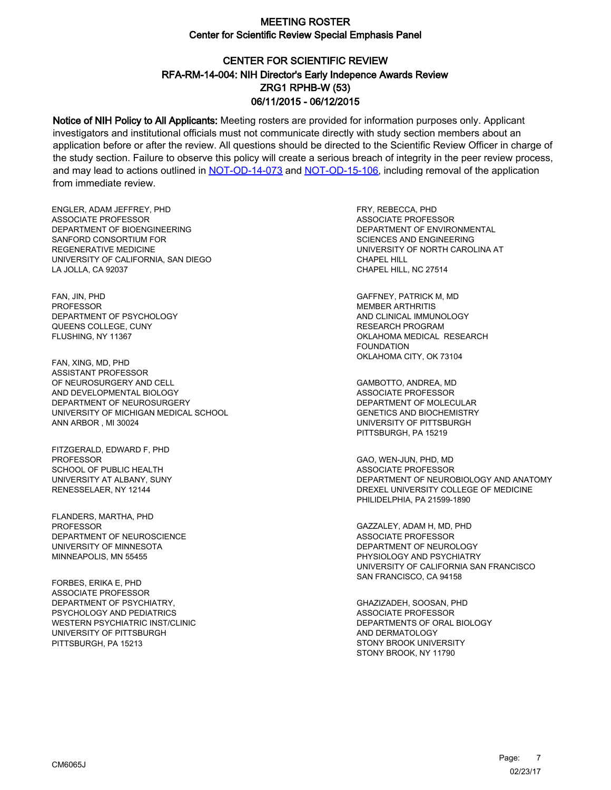# CENTER FOR SCIENTIFIC REVIEW ZRG1 RPHB-W (53) 06/11/2015 - 06/12/2015 RFA-RM-14-004: NIH Director's Early Indepence Awards Review

Notice of NIH Policy to All Applicants: Meeting rosters are provided for information purposes only. Applicant investigators and institutional officials must not communicate directly with study section members about an application before or after the review. All questions should be directed to the Scientific Review Officer in charge of the study section. Failure to observe this policy will create a serious breach of integrity in the peer review process, and may lead to actions outlined in [NOT-OD-14-073](https://grants.nih.gov/grants/guide/notice-files/NOT-OD-14-073.html) and [NOT-OD-15-106,](https://grants.nih.gov/grants/guide/notice-files/NOT-OD-15-106.html) including removal of the application from immediate review.

ENGLER, ADAM JEFFREY, PHD ASSOCIATE PROFESSOR DEPARTMENT OF BIOENGINEERING SANFORD CONSORTIUM FOR REGENERATIVE MEDICINE UNIVERSITY OF CALIFORNIA, SAN DIEGO LA JOLLA, CA 92037

FAN, JIN, PHD PROFESSOR DEPARTMENT OF PSYCHOLOGY QUEENS COLLEGE, CUNY FLUSHING, NY 11367

FAN, XING, MD, PHD ASSISTANT PROFESSOR OF NEUROSURGERY AND CELL AND DEVELOPMENTAL BIOLOGY DEPARTMENT OF NEUROSURGERY UNIVERSITY OF MICHIGAN MEDICAL SCHOOL ANN ARBOR , MI 30024

FITZGERALD, EDWARD F, PHD PROFESSOR SCHOOL OF PUBLIC HEALTH UNIVERSITY AT ALBANY, SUNY RENESSELAER, NY 12144

FLANDERS, MARTHA, PHD PROFESSOR DEPARTMENT OF NEUROSCIENCE UNIVERSITY OF MINNESOTA MINNEAPOLIS, MN 55455

FORBES, ERIKA E, PHD ASSOCIATE PROFESSOR DEPARTMENT OF PSYCHIATRY, PSYCHOLOGY AND PEDIATRICS WESTERN PSYCHIATRIC INST/CLINIC UNIVERSITY OF PITTSBURGH PITTSBURGH, PA 15213

FRY, REBECCA, PHD ASSOCIATE PROFESSOR DEPARTMENT OF ENVIRONMENTAL SCIENCES AND ENGINEERING UNIVERSITY OF NORTH CAROLINA AT CHAPEL HILL CHAPEL HILL, NC 27514

GAFFNEY, PATRICK M, MD MEMBER ARTHRITIS AND CLINICAL IMMUNOLOGY RESEARCH PROGRAM OKLAHOMA MEDICAL RESEARCH **FOUNDATION** OKLAHOMA CITY, OK 73104

GAMBOTTO, ANDREA, MD ASSOCIATE PROFESSOR DEPARTMENT OF MOLECULAR GENETICS AND BIOCHEMISTRY UNIVERSITY OF PITTSBURGH PITTSBURGH, PA 15219

GAO, WEN-JUN, PHD, MD ASSOCIATE PROFESSOR DEPARTMENT OF NEUROBIOLOGY AND ANATOMY DREXEL UNIVERSITY COLLEGE OF MEDICINE PHILIDELPHIA, PA 21599-1890

GAZZALEY, ADAM H, MD, PHD ASSOCIATE PROFESSOR DEPARTMENT OF NEUROLOGY PHYSIOLOGY AND PSYCHIATRY UNIVERSITY OF CALIFORNIA SAN FRANCISCO SAN FRANCISCO, CA 94158

GHAZIZADEH, SOOSAN, PHD ASSOCIATE PROFESSOR DEPARTMENTS OF ORAL BIOLOGY AND DERMATOLOGY STONY BROOK UNIVERSITY STONY BROOK, NY 11790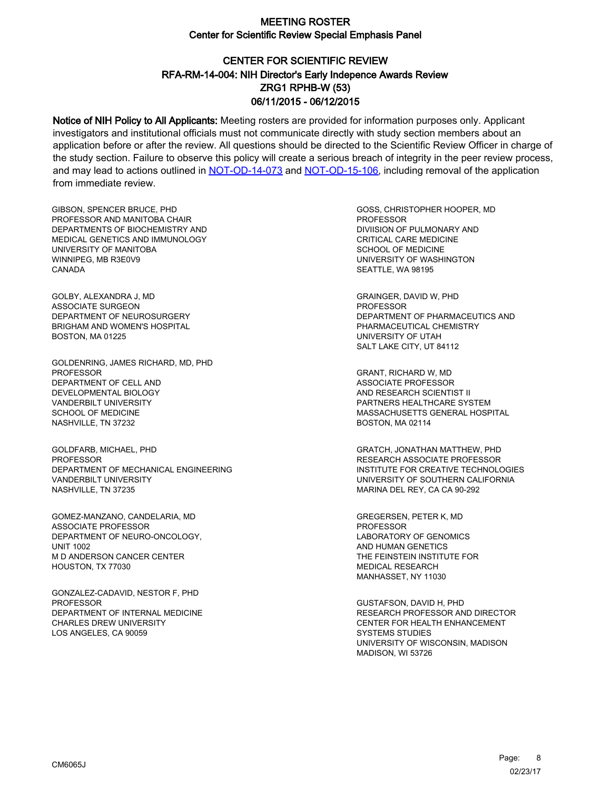# CENTER FOR SCIENTIFIC REVIEW ZRG1 RPHB-W (53) 06/11/2015 - 06/12/2015 RFA-RM-14-004: NIH Director's Early Indepence Awards Review

Notice of NIH Policy to All Applicants: Meeting rosters are provided for information purposes only. Applicant investigators and institutional officials must not communicate directly with study section members about an application before or after the review. All questions should be directed to the Scientific Review Officer in charge of the study section. Failure to observe this policy will create a serious breach of integrity in the peer review process, and may lead to actions outlined in [NOT-OD-14-073](https://grants.nih.gov/grants/guide/notice-files/NOT-OD-14-073.html) and [NOT-OD-15-106,](https://grants.nih.gov/grants/guide/notice-files/NOT-OD-15-106.html) including removal of the application from immediate review.

GIBSON, SPENCER BRUCE, PHD PROFESSOR AND MANITOBA CHAIR DEPARTMENTS OF BIOCHEMISTRY AND MEDICAL GENETICS AND IMMUNOLOGY UNIVERSITY OF MANITOBA WINNIPEG, MB R3E0V9 CANADA

GOLBY, ALEXANDRA J, MD ASSOCIATE SURGEON DEPARTMENT OF NEUROSURGERY BRIGHAM AND WOMEN'S HOSPITAL BOSTON, MA 01225

GOLDENRING, JAMES RICHARD, MD, PHD **PROFESSOR** DEPARTMENT OF CELL AND DEVELOPMENTAL BIOLOGY VANDERBILT UNIVERSITY SCHOOL OF MEDICINE NASHVILLE, TN 37232

GOLDFARB, MICHAEL, PHD **PROFESSOR** DEPARTMENT OF MECHANICAL ENGINEERING VANDERBILT UNIVERSITY NASHVILLE, TN 37235

GOMEZ-MANZANO, CANDELARIA, MD ASSOCIATE PROFESSOR DEPARTMENT OF NEURO-ONCOLOGY, UNIT 1002 M D ANDERSON CANCER CENTER HOUSTON, TX 77030

GONZALEZ-CADAVID, NESTOR F, PHD PROFESSOR DEPARTMENT OF INTERNAL MEDICINE CHARLES DREW UNIVERSITY LOS ANGELES, CA 90059

GOSS, CHRISTOPHER HOOPER, MD PROFESSOR DIVIISION OF PULMONARY AND CRITICAL CARE MEDICINE SCHOOL OF MEDICINE UNIVERSITY OF WASHINGTON SEATTLE, WA 98195

GRAINGER, DAVID W, PHD PROFESSOR DEPARTMENT OF PHARMACEUTICS AND PHARMACEUTICAL CHEMISTRY UNIVERSITY OF UTAH SALT LAKE CITY, UT 84112

GRANT, RICHARD W, MD ASSOCIATE PROFESSOR AND RESEARCH SCIENTIST II PARTNERS HEALTHCARE SYSTEM MASSACHUSETTS GENERAL HOSPITAL BOSTON, MA 02114

GRATCH, JONATHAN MATTHEW, PHD RESEARCH ASSOCIATE PROFESSOR INSTITUTE FOR CREATIVE TECHNOLOGIES UNIVERSITY OF SOUTHERN CALIFORNIA MARINA DEL REY, CA CA 90-292

GREGERSEN, PETER K, MD PROFESSOR LABORATORY OF GENOMICS AND HUMAN GENETICS THE FEINSTEIN INSTITUTE FOR MEDICAL RESEARCH MANHASSET, NY 11030

GUSTAFSON, DAVID H, PHD RESEARCH PROFESSOR AND DIRECTOR CENTER FOR HEALTH ENHANCEMENT SYSTEMS STUDIES UNIVERSITY OF WISCONSIN, MADISON MADISON, WI 53726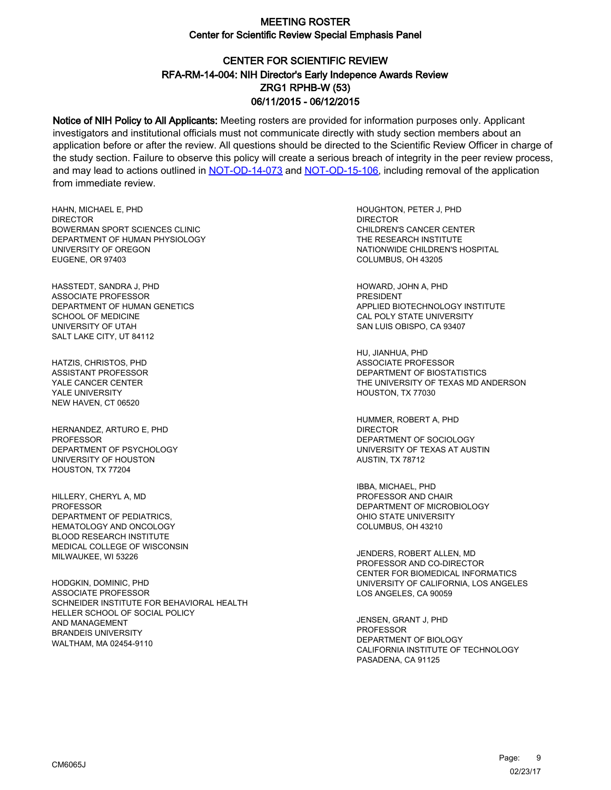# CENTER FOR SCIENTIFIC REVIEW ZRG1 RPHB-W (53) 06/11/2015 - 06/12/2015 RFA-RM-14-004: NIH Director's Early Indepence Awards Review

Notice of NIH Policy to All Applicants: Meeting rosters are provided for information purposes only. Applicant investigators and institutional officials must not communicate directly with study section members about an application before or after the review. All questions should be directed to the Scientific Review Officer in charge of the study section. Failure to observe this policy will create a serious breach of integrity in the peer review process, and may lead to actions outlined in [NOT-OD-14-073](https://grants.nih.gov/grants/guide/notice-files/NOT-OD-14-073.html) and [NOT-OD-15-106,](https://grants.nih.gov/grants/guide/notice-files/NOT-OD-15-106.html) including removal of the application from immediate review.

HAHN, MICHAEL E, PHD **DIRECTOR** BOWERMAN SPORT SCIENCES CLINIC DEPARTMENT OF HUMAN PHYSIOLOGY UNIVERSITY OF OREGON EUGENE, OR 97403

HASSTEDT, SANDRA J, PHD ASSOCIATE PROFESSOR DEPARTMENT OF HUMAN GENETICS SCHOOL OF MEDICINE UNIVERSITY OF UTAH SALT LAKE CITY, UT 84112

HATZIS, CHRISTOS, PHD ASSISTANT PROFESSOR YALE CANCER CENTER YALE UNIVERSITY NEW HAVEN, CT 06520

HERNANDEZ, ARTURO E, PHD PROFESSOR DEPARTMENT OF PSYCHOLOGY UNIVERSITY OF HOUSTON HOUSTON, TX 77204

HILLERY, CHERYL A, MD PROFESSOR DEPARTMENT OF PEDIATRICS, HEMATOLOGY AND ONCOLOGY BLOOD RESEARCH INSTITUTE MEDICAL COLLEGE OF WISCONSIN MILWAUKEE, WI 53226

HODGKIN, DOMINIC, PHD ASSOCIATE PROFESSOR SCHNEIDER INSTITUTE FOR BEHAVIORAL HEALTH HELLER SCHOOL OF SOCIAL POLICY AND MANAGEMENT BRANDEIS UNIVERSITY WALTHAM, MA 02454-9110

HOUGHTON, PETER J, PHD DIRECTOR CHILDREN'S CANCER CENTER THE RESEARCH INSTITUTE NATIONWIDE CHILDREN'S HOSPITAL COLUMBUS, OH 43205

HOWARD, JOHN A, PHD PRESIDENT APPLIED BIOTECHNOLOGY INSTITUTE CAL POLY STATE UNIVERSITY SAN LUIS OBISPO, CA 93407

HU, JIANHUA, PHD ASSOCIATE PROFESSOR DEPARTMENT OF BIOSTATISTICS THE UNIVERSITY OF TEXAS MD ANDERSON HOUSTON, TX 77030

HUMMER, ROBERT A, PHD DIRECTOR DEPARTMENT OF SOCIOLOGY UNIVERSITY OF TEXAS AT AUSTIN AUSTIN, TX 78712

IBBA, MICHAEL, PHD PROFESSOR AND CHAIR DEPARTMENT OF MICROBIOLOGY OHIO STATE UNIVERSITY COLUMBUS, OH 43210

JENDERS, ROBERT ALLEN, MD PROFESSOR AND CO-DIRECTOR CENTER FOR BIOMEDICAL INFORMATICS UNIVERSITY OF CALIFORNIA, LOS ANGELES LOS ANGELES, CA 90059

JENSEN, GRANT J, PHD PROFESSOR DEPARTMENT OF BIOLOGY CALIFORNIA INSTITUTE OF TECHNOLOGY PASADENA, CA 91125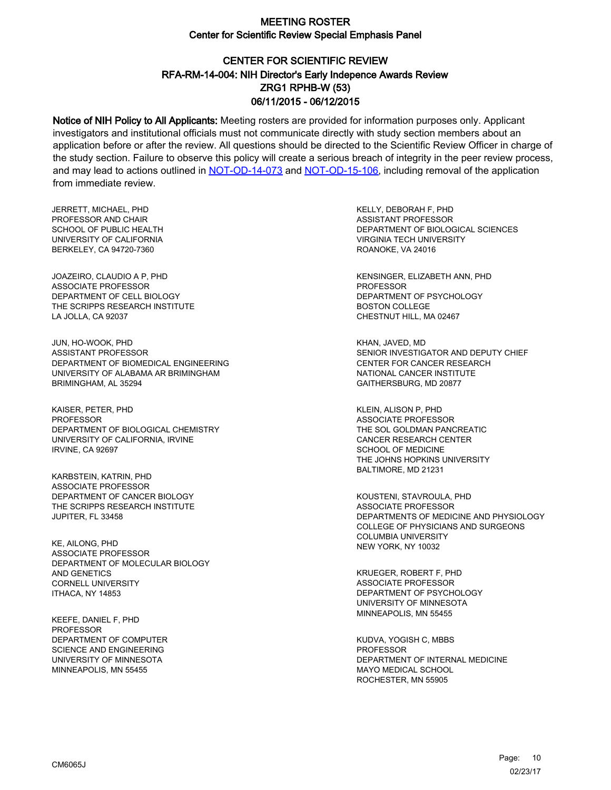# CENTER FOR SCIENTIFIC REVIEW ZRG1 RPHB-W (53) 06/11/2015 - 06/12/2015 RFA-RM-14-004: NIH Director's Early Indepence Awards Review

Notice of NIH Policy to All Applicants: Meeting rosters are provided for information purposes only. Applicant investigators and institutional officials must not communicate directly with study section members about an application before or after the review. All questions should be directed to the Scientific Review Officer in charge of the study section. Failure to observe this policy will create a serious breach of integrity in the peer review process, and may lead to actions outlined in [NOT-OD-14-073](https://grants.nih.gov/grants/guide/notice-files/NOT-OD-14-073.html) and [NOT-OD-15-106,](https://grants.nih.gov/grants/guide/notice-files/NOT-OD-15-106.html) including removal of the application from immediate review.

JERRETT, MICHAEL, PHD PROFESSOR AND CHAIR SCHOOL OF PUBLIC HEALTH UNIVERSITY OF CALIFORNIA BERKELEY, CA 94720-7360

JOAZEIRO, CLAUDIO A P, PHD ASSOCIATE PROFESSOR DEPARTMENT OF CELL BIOLOGY THE SCRIPPS RESEARCH INSTITUTE LA JOLLA, CA 92037

JUN, HO-WOOK, PHD ASSISTANT PROFESSOR DEPARTMENT OF BIOMEDICAL ENGINEERING UNIVERSITY OF ALABAMA AR BRIMINGHAM BRIMINGHAM, AL 35294

KAISER, PETER, PHD **PROFESSOR** DEPARTMENT OF BIOLOGICAL CHEMISTRY UNIVERSITY OF CALIFORNIA, IRVINE IRVINE, CA 92697

KARBSTEIN, KATRIN, PHD ASSOCIATE PROFESSOR DEPARTMENT OF CANCER BIOLOGY THE SCRIPPS RESEARCH INSTITUTE JUPITER, FL 33458

KE, AILONG, PHD ASSOCIATE PROFESSOR DEPARTMENT OF MOLECULAR BIOLOGY AND GENETICS CORNELL UNIVERSITY ITHACA, NY 14853

KEEFE, DANIEL F, PHD PROFESSOR DEPARTMENT OF COMPUTER SCIENCE AND ENGINEERING UNIVERSITY OF MINNESOTA MINNEAPOLIS, MN 55455

KELLY, DEBORAH F, PHD ASSISTANT PROFESSOR DEPARTMENT OF BIOLOGICAL SCIENCES VIRGINIA TECH UNIVERSITY ROANOKE, VA 24016

KENSINGER, ELIZABETH ANN, PHD PROFESSOR DEPARTMENT OF PSYCHOLOGY BOSTON COLLEGE CHESTNUT HILL, MA 02467

KHAN, JAVED, MD SENIOR INVESTIGATOR AND DEPUTY CHIEF CENTER FOR CANCER RESEARCH NATIONAL CANCER INSTITUTE GAITHERSBURG, MD 20877

KLEIN, ALISON P, PHD ASSOCIATE PROFESSOR THE SOL GOLDMAN PANCREATIC CANCER RESEARCH CENTER SCHOOL OF MEDICINE THE JOHNS HOPKINS UNIVERSITY BALTIMORE, MD 21231

KOUSTENI, STAVROULA, PHD ASSOCIATE PROFESSOR DEPARTMENTS OF MEDICINE AND PHYSIOLOGY COLLEGE OF PHYSICIANS AND SURGEONS COLUMBIA UNIVERSITY NEW YORK, NY 10032

KRUEGER, ROBERT F, PHD ASSOCIATE PROFESSOR DEPARTMENT OF PSYCHOLOGY UNIVERSITY OF MINNESOTA MINNEAPOLIS, MN 55455

KUDVA, YOGISH C, MBBS **PROFESSOR** DEPARTMENT OF INTERNAL MEDICINE MAYO MEDICAL SCHOOL ROCHESTER, MN 55905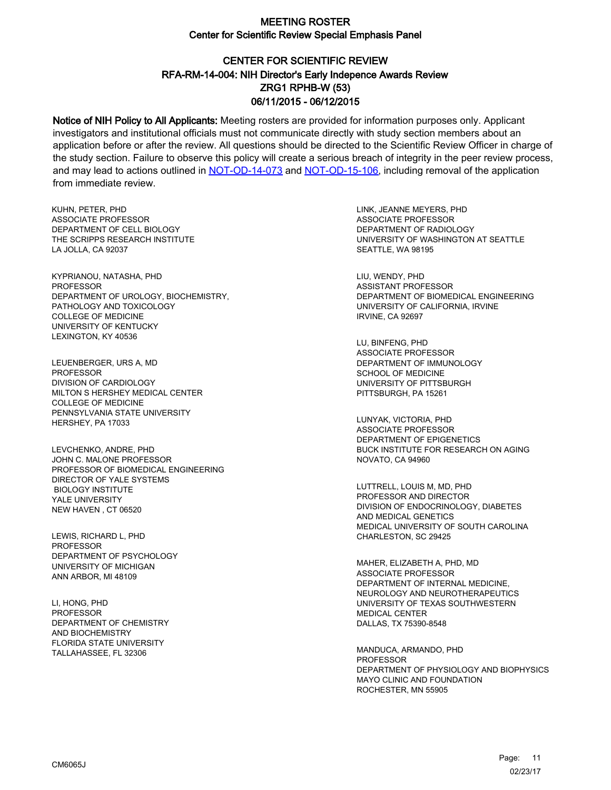# CENTER FOR SCIENTIFIC REVIEW ZRG1 RPHB-W (53) 06/11/2015 - 06/12/2015 RFA-RM-14-004: NIH Director's Early Indepence Awards Review

Notice of NIH Policy to All Applicants: Meeting rosters are provided for information purposes only. Applicant investigators and institutional officials must not communicate directly with study section members about an application before or after the review. All questions should be directed to the Scientific Review Officer in charge of the study section. Failure to observe this policy will create a serious breach of integrity in the peer review process, and may lead to actions outlined in [NOT-OD-14-073](https://grants.nih.gov/grants/guide/notice-files/NOT-OD-14-073.html) and [NOT-OD-15-106,](https://grants.nih.gov/grants/guide/notice-files/NOT-OD-15-106.html) including removal of the application from immediate review.

KUHN, PETER, PHD ASSOCIATE PROFESSOR DEPARTMENT OF CELL BIOLOGY THE SCRIPPS RESEARCH INSTITUTE LA JOLLA, CA 92037

KYPRIANOU, NATASHA, PHD PROFESSOR DEPARTMENT OF UROLOGY, BIOCHEMISTRY, PATHOLOGY AND TOXICOLOGY COLLEGE OF MEDICINE UNIVERSITY OF KENTUCKY LEXINGTON, KY 40536

LEUENBERGER, URS A, MD **PROFESSOR** DIVISION OF CARDIOLOGY MILTON S HERSHEY MEDICAL CENTER COLLEGE OF MEDICINE PENNSYLVANIA STATE UNIVERSITY HERSHEY, PA 17033

LEVCHENKO, ANDRE, PHD JOHN C. MALONE PROFESSOR PROFESSOR OF BIOMEDICAL ENGINEERING DIRECTOR OF YALE SYSTEMS BIOLOGY INSTITUTE YALE UNIVERSITY NEW HAVEN , CT 06520

LEWIS, RICHARD L, PHD PROFESSOR DEPARTMENT OF PSYCHOLOGY UNIVERSITY OF MICHIGAN ANN ARBOR, MI 48109

LI, HONG, PHD PROFESSOR DEPARTMENT OF CHEMISTRY AND BIOCHEMISTRY FLORIDA STATE UNIVERSITY TALLAHASSEE, FL 32306

LINK, JEANNE MEYERS, PHD ASSOCIATE PROFESSOR DEPARTMENT OF RADIOLOGY UNIVERSITY OF WASHINGTON AT SEATTLE SEATTLE, WA 98195

LIU, WENDY, PHD ASSISTANT PROFESSOR DEPARTMENT OF BIOMEDICAL ENGINEERING UNIVERSITY OF CALIFORNIA, IRVINE IRVINE, CA 92697

LU, BINFENG, PHD ASSOCIATE PROFESSOR DEPARTMENT OF IMMUNOLOGY SCHOOL OF MEDICINE UNIVERSITY OF PITTSBURGH PITTSBURGH, PA 15261

LUNYAK, VICTORIA, PHD ASSOCIATE PROFESSOR DEPARTMENT OF EPIGENETICS BUCK INSTITUTE FOR RESEARCH ON AGING NOVATO, CA 94960

LUTTRELL, LOUIS M, MD, PHD PROFESSOR AND DIRECTOR DIVISION OF ENDOCRINOLOGY, DIABETES AND MEDICAL GENETICS MEDICAL UNIVERSITY OF SOUTH CAROLINA CHARLESTON, SC 29425

MAHER, ELIZABETH A, PHD, MD ASSOCIATE PROFESSOR DEPARTMENT OF INTERNAL MEDICINE, NEUROLOGY AND NEUROTHERAPEUTICS UNIVERSITY OF TEXAS SOUTHWESTERN MEDICAL CENTER DALLAS, TX 75390-8548

MANDUCA, ARMANDO, PHD PROFESSOR DEPARTMENT OF PHYSIOLOGY AND BIOPHYSICS MAYO CLINIC AND FOUNDATION ROCHESTER, MN 55905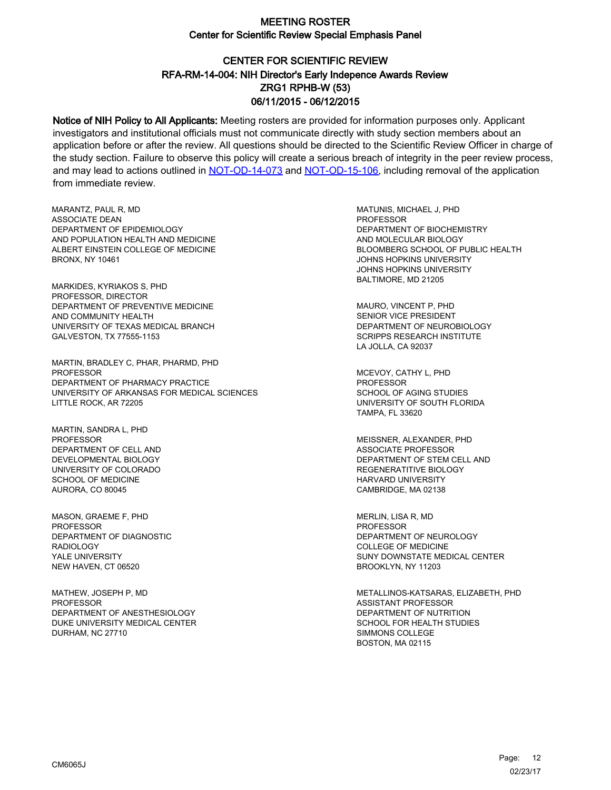# CENTER FOR SCIENTIFIC REVIEW ZRG1 RPHB-W (53) 06/11/2015 - 06/12/2015 RFA-RM-14-004: NIH Director's Early Indepence Awards Review

Notice of NIH Policy to All Applicants: Meeting rosters are provided for information purposes only. Applicant investigators and institutional officials must not communicate directly with study section members about an application before or after the review. All questions should be directed to the Scientific Review Officer in charge of the study section. Failure to observe this policy will create a serious breach of integrity in the peer review process, and may lead to actions outlined in [NOT-OD-14-073](https://grants.nih.gov/grants/guide/notice-files/NOT-OD-14-073.html) and [NOT-OD-15-106,](https://grants.nih.gov/grants/guide/notice-files/NOT-OD-15-106.html) including removal of the application from immediate review.

MARANTZ, PAUL R, MD ASSOCIATE DEAN DEPARTMENT OF EPIDEMIOLOGY AND POPULATION HEALTH AND MEDICINE ALBERT EINSTEIN COLLEGE OF MEDICINE BRONX, NY 10461

MARKIDES, KYRIAKOS S, PHD PROFESSOR, DIRECTOR DEPARTMENT OF PREVENTIVE MEDICINE AND COMMUNITY HEALTH UNIVERSITY OF TEXAS MEDICAL BRANCH GALVESTON, TX 77555-1153

MARTIN, BRADLEY C, PHAR, PHARMD, PHD **PROFESSOR** DEPARTMENT OF PHARMACY PRACTICE UNIVERSITY OF ARKANSAS FOR MEDICAL SCIENCES LITTLE ROCK, AR 72205

MARTIN, SANDRA L, PHD PROFESSOR DEPARTMENT OF CELL AND DEVELOPMENTAL BIOLOGY UNIVERSITY OF COLORADO SCHOOL OF MEDICINE AURORA, CO 80045

MASON, GRAEME F, PHD PROFESSOR DEPARTMENT OF DIAGNOSTIC RADIOLOGY YALE UNIVERSITY NEW HAVEN, CT 06520

MATHEW, JOSEPH P, MD PROFESSOR DEPARTMENT OF ANESTHESIOLOGY DUKE UNIVERSITY MEDICAL CENTER DURHAM, NC 27710

MATUNIS, MICHAEL J, PHD PROFESSOR DEPARTMENT OF BIOCHEMISTRY AND MOLECULAR BIOLOGY BLOOMBERG SCHOOL OF PUBLIC HEALTH JOHNS HOPKINS UNIVERSITY JOHNS HOPKINS UNIVERSITY BALTIMORE, MD 21205

MAURO, VINCENT P, PHD SENIOR VICE PRESIDENT DEPARTMENT OF NEUROBIOLOGY SCRIPPS RESEARCH INSTITUTE LA JOLLA, CA 92037

MCEVOY, CATHY L, PHD **PROFESSOR** SCHOOL OF AGING STUDIES UNIVERSITY OF SOUTH FLORIDA TAMPA, FL 33620

MEISSNER, ALEXANDER, PHD ASSOCIATE PROFESSOR DEPARTMENT OF STEM CELL AND REGENERATITIVE BIOLOGY HARVARD UNIVERSITY CAMBRIDGE, MA 02138

MERLIN, LISA R, MD PROFESSOR DEPARTMENT OF NEUROLOGY COLLEGE OF MEDICINE SUNY DOWNSTATE MEDICAL CENTER BROOKLYN, NY 11203

METALLINOS-KATSARAS, ELIZABETH, PHD ASSISTANT PROFESSOR DEPARTMENT OF NUTRITION SCHOOL FOR HEALTH STUDIES SIMMONS COLLEGE BOSTON, MA 02115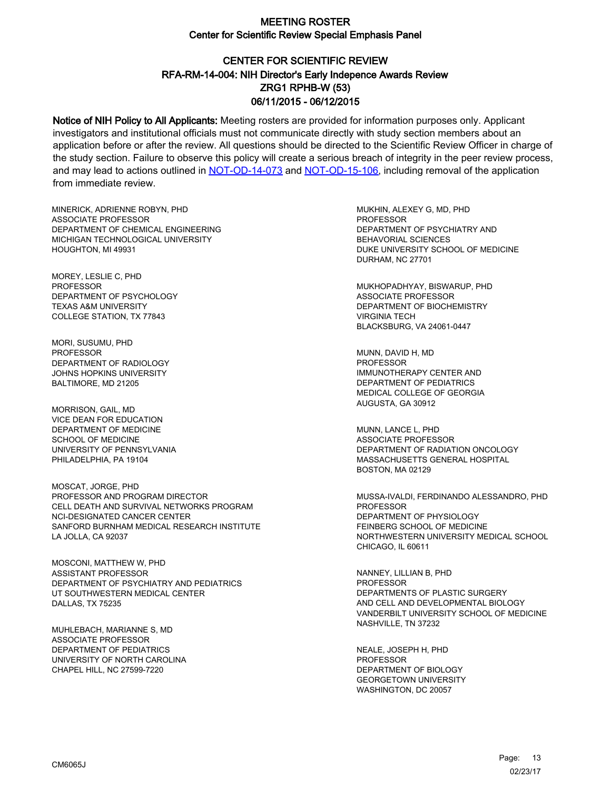# CENTER FOR SCIENTIFIC REVIEW ZRG1 RPHB-W (53) 06/11/2015 - 06/12/2015 RFA-RM-14-004: NIH Director's Early Indepence Awards Review

Notice of NIH Policy to All Applicants: Meeting rosters are provided for information purposes only. Applicant investigators and institutional officials must not communicate directly with study section members about an application before or after the review. All questions should be directed to the Scientific Review Officer in charge of the study section. Failure to observe this policy will create a serious breach of integrity in the peer review process, and may lead to actions outlined in [NOT-OD-14-073](https://grants.nih.gov/grants/guide/notice-files/NOT-OD-14-073.html) and [NOT-OD-15-106,](https://grants.nih.gov/grants/guide/notice-files/NOT-OD-15-106.html) including removal of the application from immediate review.

MINERICK, ADRIENNE ROBYN, PHD ASSOCIATE PROFESSOR DEPARTMENT OF CHEMICAL ENGINEERING MICHIGAN TECHNOLOGICAL UNIVERSITY HOUGHTON, MI 49931

MOREY, LESLIE C, PHD PROFESSOR DEPARTMENT OF PSYCHOLOGY TEXAS A&M UNIVERSITY COLLEGE STATION, TX 77843

MORI, SUSUMU, PHD PROFESSOR DEPARTMENT OF RADIOLOGY JOHNS HOPKINS UNIVERSITY BALTIMORE, MD 21205

MORRISON, GAIL, MD VICE DEAN FOR EDUCATION DEPARTMENT OF MEDICINE SCHOOL OF MEDICINE UNIVERSITY OF PENNSYLVANIA PHILADELPHIA, PA 19104

MOSCAT, JORGE, PHD PROFESSOR AND PROGRAM DIRECTOR CELL DEATH AND SURVIVAL NETWORKS PROGRAM NCI-DESIGNATED CANCER CENTER SANFORD BURNHAM MEDICAL RESEARCH INSTITUTE LA JOLLA, CA 92037

MOSCONI, MATTHEW W, PHD ASSISTANT PROFESSOR DEPARTMENT OF PSYCHIATRY AND PEDIATRICS UT SOUTHWESTERN MEDICAL CENTER DALLAS, TX 75235

MUHLEBACH, MARIANNE S, MD ASSOCIATE PROFESSOR DEPARTMENT OF PEDIATRICS UNIVERSITY OF NORTH CAROLINA CHAPEL HILL, NC 27599-7220

MUKHIN, ALEXEY G, MD, PHD **PROFESSOR** DEPARTMENT OF PSYCHIATRY AND BEHAVORIAL SCIENCES DUKE UNIVERSITY SCHOOL OF MEDICINE DURHAM, NC 27701

MUKHOPADHYAY, BISWARUP, PHD ASSOCIATE PROFESSOR DEPARTMENT OF BIOCHEMISTRY VIRGINIA TECH BLACKSBURG, VA 24061-0447

MUNN, DAVID H, MD PROFESSOR IMMUNOTHERAPY CENTER AND DEPARTMENT OF PEDIATRICS MEDICAL COLLEGE OF GEORGIA AUGUSTA, GA 30912

MUNN, LANCE L, PHD ASSOCIATE PROFESSOR DEPARTMENT OF RADIATION ONCOLOGY MASSACHUSETTS GENERAL HOSPITAL BOSTON, MA 02129

MUSSA-IVALDI, FERDINANDO ALESSANDRO, PHD PROFESSOR DEPARTMENT OF PHYSIOLOGY FEINBERG SCHOOL OF MEDICINE NORTHWESTERN UNIVERSITY MEDICAL SCHOOL CHICAGO, IL 60611

NANNEY, LILLIAN B, PHD **PROFESSOR** DEPARTMENTS OF PLASTIC SURGERY AND CELL AND DEVELOPMENTAL BIOLOGY VANDERBILT UNIVERSITY SCHOOL OF MEDICINE NASHVILLE, TN 37232

NEALE, JOSEPH H, PHD PROFESSOR DEPARTMENT OF BIOLOGY GEORGETOWN UNIVERSITY WASHINGTON, DC 20057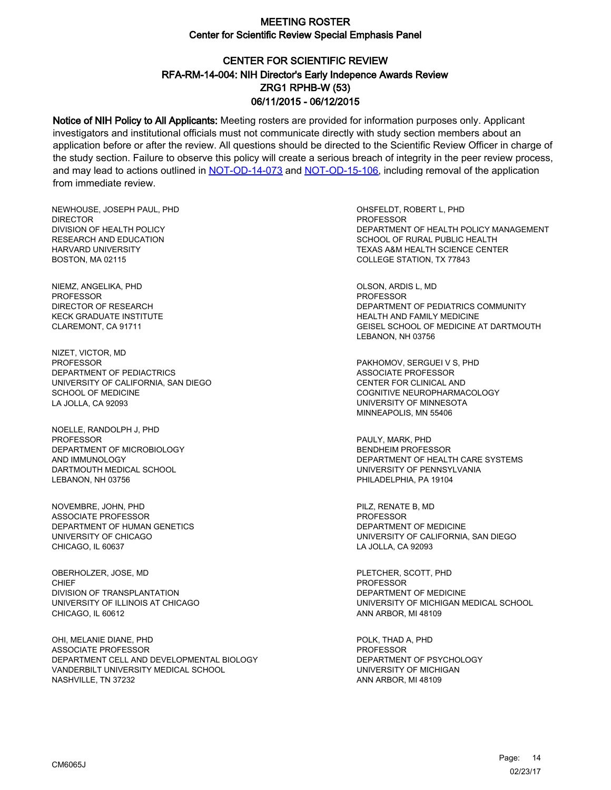# CENTER FOR SCIENTIFIC REVIEW ZRG1 RPHB-W (53) 06/11/2015 - 06/12/2015 RFA-RM-14-004: NIH Director's Early Indepence Awards Review

Notice of NIH Policy to All Applicants: Meeting rosters are provided for information purposes only. Applicant investigators and institutional officials must not communicate directly with study section members about an application before or after the review. All questions should be directed to the Scientific Review Officer in charge of the study section. Failure to observe this policy will create a serious breach of integrity in the peer review process, and may lead to actions outlined in [NOT-OD-14-073](https://grants.nih.gov/grants/guide/notice-files/NOT-OD-14-073.html) and [NOT-OD-15-106,](https://grants.nih.gov/grants/guide/notice-files/NOT-OD-15-106.html) including removal of the application from immediate review.

NEWHOUSE, JOSEPH PAUL, PHD DIRECTOR DIVISION OF HEALTH POLICY RESEARCH AND EDUCATION HARVARD UNIVERSITY BOSTON, MA 02115

NIEMZ, ANGELIKA, PHD PROFESSOR DIRECTOR OF RESEARCH KECK GRADUATE INSTITUTE CLAREMONT, CA 91711

NIZET, VICTOR, MD PROFESSOR DEPARTMENT OF PEDIACTRICS UNIVERSITY OF CALIFORNIA, SAN DIEGO SCHOOL OF MEDICINE LA JOLLA, CA 92093

NOELLE, RANDOLPH J, PHD PROFESSOR DEPARTMENT OF MICROBIOLOGY AND IMMUNOLOGY DARTMOUTH MEDICAL SCHOOL LEBANON, NH 03756

NOVEMBRE, JOHN, PHD ASSOCIATE PROFESSOR DEPARTMENT OF HUMAN GENETICS UNIVERSITY OF CHICAGO CHICAGO, IL 60637

OBERHOLZER, JOSE, MD **CHIEF** DIVISION OF TRANSPLANTATION UNIVERSITY OF ILLINOIS AT CHICAGO CHICAGO, IL 60612

OHI, MELANIE DIANE, PHD ASSOCIATE PROFESSOR DEPARTMENT CELL AND DEVELOPMENTAL BIOLOGY VANDERBILT UNIVERSITY MEDICAL SCHOOL NASHVILLE, TN 37232

OHSFELDT, ROBERT L, PHD PROFESSOR DEPARTMENT OF HEALTH POLICY MANAGEMENT SCHOOL OF RURAL PUBLIC HEALTH TEXAS A&M HEALTH SCIENCE CENTER COLLEGE STATION, TX 77843

OLSON, ARDIS L, MD PROFESSOR DEPARTMENT OF PEDIATRICS COMMUNITY HEALTH AND FAMILY MEDICINE GEISEL SCHOOL OF MEDICINE AT DARTMOUTH LEBANON, NH 03756

PAKHOMOV, SERGUEI V S, PHD ASSOCIATE PROFESSOR CENTER FOR CLINICAL AND COGNITIVE NEUROPHARMACOLOGY UNIVERSITY OF MINNESOTA MINNEAPOLIS, MN 55406

PAULY, MARK, PHD BENDHEIM PROFESSOR DEPARTMENT OF HEALTH CARE SYSTEMS UNIVERSITY OF PENNSYLVANIA PHILADELPHIA, PA 19104

PILZ, RENATE B, MD PROFESSOR DEPARTMENT OF MEDICINE UNIVERSITY OF CALIFORNIA, SAN DIEGO LA JOLLA, CA 92093

PLETCHER, SCOTT, PHD **PROFESSOR** DEPARTMENT OF MEDICINE UNIVERSITY OF MICHIGAN MEDICAL SCHOOL ANN ARBOR, MI 48109

POLK, THAD A, PHD **PROFESSOR** DEPARTMENT OF PSYCHOLOGY UNIVERSITY OF MICHIGAN ANN ARBOR, MI 48109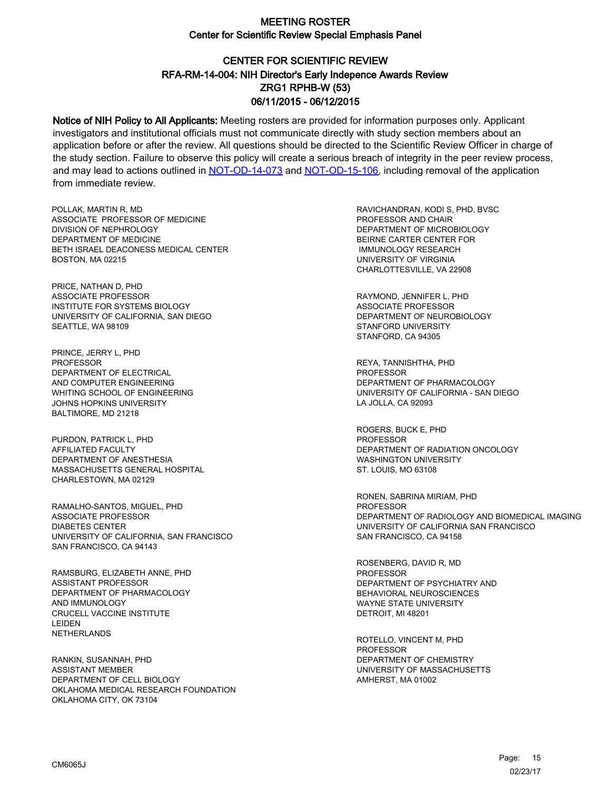# CENTER FOR SCIENTIFIC REVIEW ZRG1 RPHB-W (53) 06/11/2015 - 06/12/2015 RFA-RM-14-004: NIH Director's Early Indepence Awards Review

Notice of NIH Policy to All Applicants: Meeting rosters are provided for information purposes only. Applicant investigators and institutional officials must not communicate directly with study section members about an application before or after the review. All questions should be directed to the Scientific Review Officer in charge of the study section. Failure to observe this policy will create a serious breach of integrity in the peer review process, and may lead to actions outlined in [NOT-OD-14-073](https://grants.nih.gov/grants/guide/notice-files/NOT-OD-14-073.html) and [NOT-OD-15-106,](https://grants.nih.gov/grants/guide/notice-files/NOT-OD-15-106.html) including removal of the application from immediate review.

POLLAK, MARTIN R, MD ASSOCIATE PROFESSOR OF MEDICINE DIVISION OF NEPHROLOGY DEPARTMENT OF MEDICINE BETH ISRAEL DEACONESS MEDICAL CENTER BOSTON, MA 02215

PRICE, NATHAN D, PHD ASSOCIATE PROFESSOR INSTITUTE FOR SYSTEMS BIOLOGY UNIVERSITY OF CALIFORNIA, SAN DIEGO SEATTLE, WA 98109

PRINCE, JERRY L, PHD PROFESSOR DEPARTMENT OF ELECTRICAL AND COMPUTER ENGINEERING WHITING SCHOOL OF ENGINEERING JOHNS HOPKINS UNIVERSITY BALTIMORE, MD 21218

PURDON, PATRICK L, PHD AFFILIATED FACULTY DEPARTMENT OF ANESTHESIA MASSACHUSETTS GENERAL HOSPITAL CHARLESTOWN, MA 02129

RAMALHO-SANTOS, MIGUEL, PHD ASSOCIATE PROFESSOR DIABETES CENTER UNIVERSITY OF CALIFORNIA, SAN FRANCISCO SAN FRANCISCO, CA 94143

RAMSBURG, ELIZABETH ANNE, PHD ASSISTANT PROFESSOR DEPARTMENT OF PHARMACOLOGY AND IMMUNOLOGY CRUCELL VACCINE INSTITUTE LEIDEN NETHERLANDS

RANKIN, SUSANNAH, PHD ASSISTANT MEMBER DEPARTMENT OF CELL BIOLOGY OKLAHOMA MEDICAL RESEARCH FOUNDATION OKLAHOMA CITY, OK 73104

RAVICHANDRAN, KODI S, PHD, BVSC PROFESSOR AND CHAIR DEPARTMENT OF MICROBIOLOGY BEIRNE CARTER CENTER FOR IMMUNOLOGY RESEARCH UNIVERSITY OF VIRGINIA CHARLOTTESVILLE, VA 22908

RAYMOND, JENNIFER L, PHD ASSOCIATE PROFESSOR DEPARTMENT OF NEUROBIOLOGY STANFORD UNIVERSITY STANFORD, CA 94305

REYA, TANNISHTHA, PHD **PROFESSOR** DEPARTMENT OF PHARMACOLOGY UNIVERSITY OF CALIFORNIA - SAN DIEGO LA JOLLA, CA 92093

ROGERS, BUCK E, PHD PROFESSOR DEPARTMENT OF RADIATION ONCOLOGY WASHINGTON UNIVERSITY ST. LOUIS, MO 63108

RONEN, SABRINA MIRIAM, PHD PROFESSOR DEPARTMENT OF RADIOLOGY AND BIOMEDICAL IMAGING UNIVERSITY OF CALIFORNIA SAN FRANCISCO SAN FRANCISCO, CA 94158

ROSENBERG, DAVID R, MD PROFESSOR DEPARTMENT OF PSYCHIATRY AND BEHAVIORAL NEUROSCIENCES WAYNE STATE UNIVERSITY DETROIT, MI 48201

ROTELLO, VINCENT M, PHD **PROFESSOR** DEPARTMENT OF CHEMISTRY UNIVERSITY OF MASSACHUSETTS AMHERST, MA 01002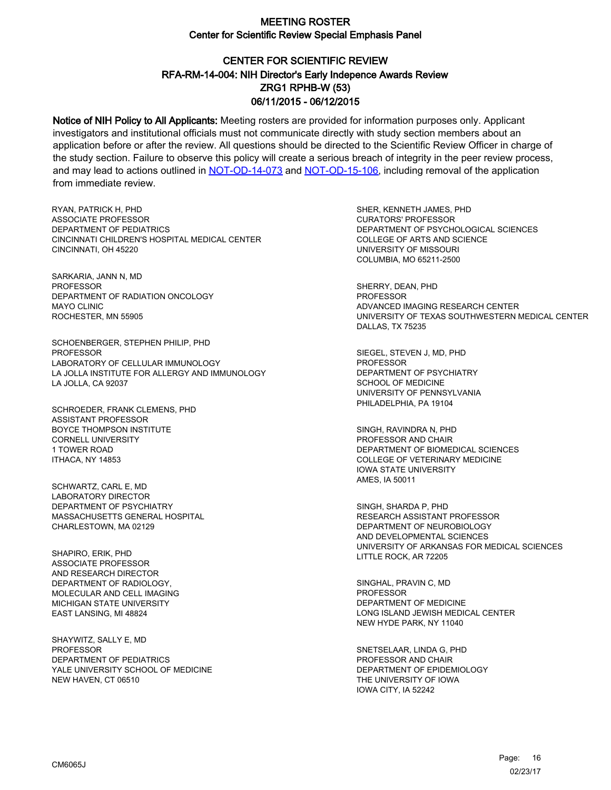# CENTER FOR SCIENTIFIC REVIEW ZRG1 RPHB-W (53) 06/11/2015 - 06/12/2015 RFA-RM-14-004: NIH Director's Early Indepence Awards Review

Notice of NIH Policy to All Applicants: Meeting rosters are provided for information purposes only. Applicant investigators and institutional officials must not communicate directly with study section members about an application before or after the review. All questions should be directed to the Scientific Review Officer in charge of the study section. Failure to observe this policy will create a serious breach of integrity in the peer review process, and may lead to actions outlined in [NOT-OD-14-073](https://grants.nih.gov/grants/guide/notice-files/NOT-OD-14-073.html) and [NOT-OD-15-106,](https://grants.nih.gov/grants/guide/notice-files/NOT-OD-15-106.html) including removal of the application from immediate review.

RYAN, PATRICK H, PHD ASSOCIATE PROFESSOR DEPARTMENT OF PEDIATRICS CINCINNATI CHILDREN'S HOSPITAL MEDICAL CENTER CINCINNATI, OH 45220

SARKARIA, JANN N, MD PROFESSOR DEPARTMENT OF RADIATION ONCOLOGY MAYO CLINIC ROCHESTER, MN 55905

SCHOENBERGER, STEPHEN PHILIP, PHD PROFESSOR LABORATORY OF CELLULAR IMMUNOLOGY LA JOLLA INSTITUTE FOR ALLERGY AND IMMUNOLOGY LA JOLLA, CA 92037

SCHROEDER, FRANK CLEMENS, PHD ASSISTANT PROFESSOR BOYCE THOMPSON INSTITUTE CORNELL UNIVERSITY 1 TOWER ROAD ITHACA, NY 14853

SCHWARTZ, CARL E, MD LABORATORY DIRECTOR DEPARTMENT OF PSYCHIATRY MASSACHUSETTS GENERAL HOSPITAL CHARLESTOWN, MA 02129

SHAPIRO, ERIK, PHD ASSOCIATE PROFESSOR AND RESEARCH DIRECTOR DEPARTMENT OF RADIOLOGY, MOLECULAR AND CELL IMAGING MICHIGAN STATE UNIVERSITY EAST LANSING, MI 48824

SHAYWITZ, SALLY E, MD **PROFESSOR** DEPARTMENT OF PEDIATRICS YALE UNIVERSITY SCHOOL OF MEDICINE NEW HAVEN, CT 06510

SHER, KENNETH JAMES, PHD CURATORS' PROFESSOR DEPARTMENT OF PSYCHOLOGICAL SCIENCES COLLEGE OF ARTS AND SCIENCE UNIVERSITY OF MISSOURI COLUMBIA, MO 65211-2500

SHERRY, DEAN, PHD PROFESSOR ADVANCED IMAGING RESEARCH CENTER UNIVERSITY OF TEXAS SOUTHWESTERN MEDICAL CENTER DALLAS, TX 75235

SIEGEL, STEVEN J, MD, PHD PROFESSOR DEPARTMENT OF PSYCHIATRY SCHOOL OF MEDICINE UNIVERSITY OF PENNSYLVANIA PHILADELPHIA, PA 19104

SINGH, RAVINDRA N, PHD PROFESSOR AND CHAIR DEPARTMENT OF BIOMEDICAL SCIENCES COLLEGE OF VETERINARY MEDICINE IOWA STATE UNIVERSITY AMES, IA 50011

SINGH, SHARDA P, PHD RESEARCH ASSISTANT PROFESSOR DEPARTMENT OF NEUROBIOLOGY AND DEVELOPMENTAL SCIENCES UNIVERSITY OF ARKANSAS FOR MEDICAL SCIENCES LITTLE ROCK, AR 72205

SINGHAL, PRAVIN C, MD PROFESSOR DEPARTMENT OF MEDICINE LONG ISLAND JEWISH MEDICAL CENTER NEW HYDE PARK, NY 11040

SNETSELAAR, LINDA G, PHD PROFESSOR AND CHAIR DEPARTMENT OF EPIDEMIOLOGY THE UNIVERSITY OF IOWA IOWA CITY, IA 52242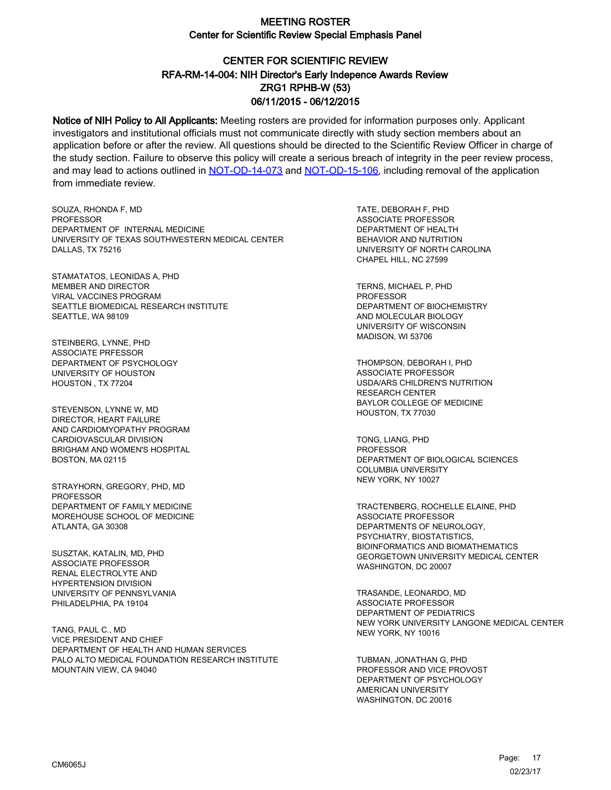# CENTER FOR SCIENTIFIC REVIEW ZRG1 RPHB-W (53) 06/11/2015 - 06/12/2015 RFA-RM-14-004: NIH Director's Early Indepence Awards Review

Notice of NIH Policy to All Applicants: Meeting rosters are provided for information purposes only. Applicant investigators and institutional officials must not communicate directly with study section members about an application before or after the review. All questions should be directed to the Scientific Review Officer in charge of the study section. Failure to observe this policy will create a serious breach of integrity in the peer review process, and may lead to actions outlined in [NOT-OD-14-073](https://grants.nih.gov/grants/guide/notice-files/NOT-OD-14-073.html) and [NOT-OD-15-106,](https://grants.nih.gov/grants/guide/notice-files/NOT-OD-15-106.html) including removal of the application from immediate review.

SOUZA, RHONDA F, MD **PROFESSOR** DEPARTMENT OF INTERNAL MEDICINE UNIVERSITY OF TEXAS SOUTHWESTERN MEDICAL CENTER DALLAS, TX 75216

STAMATATOS, LEONIDAS A, PHD MEMBER AND DIRECTOR VIRAL VACCINES PROGRAM SEATTLE BIOMEDICAL RESEARCH INSTITUTE SEATTLE, WA 98109

STEINBERG, LYNNE, PHD ASSOCIATE PRFESSOR DEPARTMENT OF PSYCHOLOGY UNIVERSITY OF HOUSTON HOUSTON , TX 77204

STEVENSON, LYNNE W, MD DIRECTOR, HEART FAILURE AND CARDIOMYOPATHY PROGRAM CARDIOVASCULAR DIVISION BRIGHAM AND WOMEN'S HOSPITAL BOSTON, MA 02115

STRAYHORN, GREGORY, PHD, MD PROFESSOR DEPARTMENT OF FAMILY MEDICINE MOREHOUSE SCHOOL OF MEDICINE ATLANTA, GA 30308

SUSZTAK, KATALIN, MD, PHD ASSOCIATE PROFESSOR RENAL ELECTROLYTE AND HYPERTENSION DIVISION UNIVERSITY OF PENNSYLVANIA PHILADELPHIA, PA 19104

TANG, PAUL C., MD VICE PRESIDENT AND CHIEF DEPARTMENT OF HEALTH AND HUMAN SERVICES PALO ALTO MEDICAL FOUNDATION RESEARCH INSTITUTE MOUNTAIN VIEW, CA 94040

TATE, DEBORAH F, PHD ASSOCIATE PROFESSOR DEPARTMENT OF HEALTH BEHAVIOR AND NUTRITION UNIVERSITY OF NORTH CAROLINA CHAPEL HILL, NC 27599

TERNS, MICHAEL P, PHD PROFESSOR DEPARTMENT OF BIOCHEMISTRY AND MOLECULAR BIOLOGY UNIVERSITY OF WISCONSIN MADISON, WI 53706

THOMPSON, DEBORAH I, PHD ASSOCIATE PROFESSOR USDA/ARS CHILDREN'S NUTRITION RESEARCH CENTER BAYLOR COLLEGE OF MEDICINE HOUSTON, TX 77030

TONG, LIANG, PHD PROFESSOR DEPARTMENT OF BIOLOGICAL SCIENCES COLUMBIA UNIVERSITY NEW YORK, NY 10027

TRACTENBERG, ROCHELLE ELAINE, PHD ASSOCIATE PROFESSOR DEPARTMENTS OF NEUROLOGY, PSYCHIATRY, BIOSTATISTICS, BIOINFORMATICS AND BIOMATHEMATICS GEORGETOWN UNIVERSITY MEDICAL CENTER WASHINGTON, DC 20007

TRASANDE, LEONARDO, MD ASSOCIATE PROFESSOR DEPARTMENT OF PEDIATRICS NEW YORK UNIVERSITY LANGONE MEDICAL CENTER NEW YORK, NY 10016

TUBMAN, JONATHAN G, PHD PROFESSOR AND VICE PROVOST DEPARTMENT OF PSYCHOLOGY AMERICAN UNIVERSITY WASHINGTON, DC 20016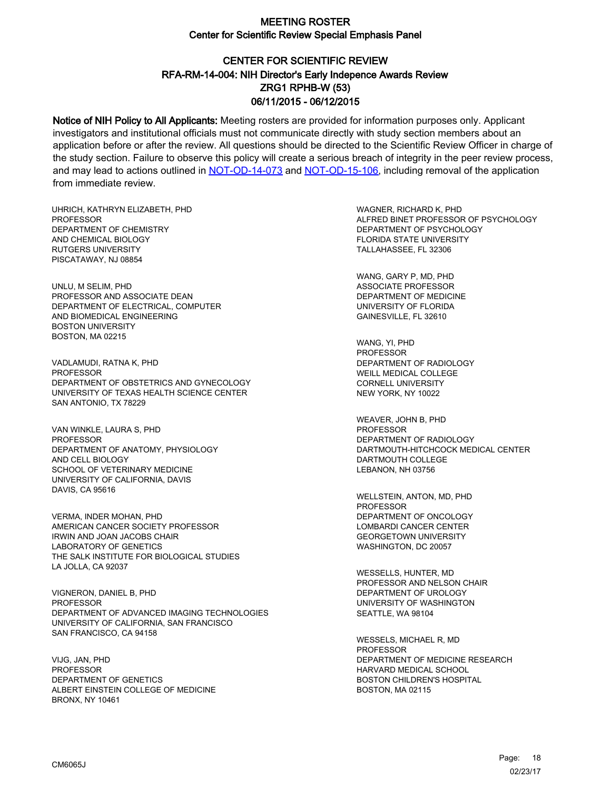# CENTER FOR SCIENTIFIC REVIEW ZRG1 RPHB-W (53) 06/11/2015 - 06/12/2015 RFA-RM-14-004: NIH Director's Early Indepence Awards Review

Notice of NIH Policy to All Applicants: Meeting rosters are provided for information purposes only. Applicant investigators and institutional officials must not communicate directly with study section members about an application before or after the review. All questions should be directed to the Scientific Review Officer in charge of the study section. Failure to observe this policy will create a serious breach of integrity in the peer review process, and may lead to actions outlined in [NOT-OD-14-073](https://grants.nih.gov/grants/guide/notice-files/NOT-OD-14-073.html) and [NOT-OD-15-106,](https://grants.nih.gov/grants/guide/notice-files/NOT-OD-15-106.html) including removal of the application from immediate review.

UHRICH, KATHRYN ELIZABETH, PHD **PROFESSOR** DEPARTMENT OF CHEMISTRY AND CHEMICAL BIOLOGY RUTGERS UNIVERSITY PISCATAWAY, NJ 08854

UNLU, M SELIM, PHD PROFESSOR AND ASSOCIATE DEAN DEPARTMENT OF ELECTRICAL, COMPUTER AND BIOMEDICAL ENGINEERING BOSTON UNIVERSITY BOSTON, MA 02215

VADLAMUDI, RATNA K, PHD **PROFESSOR** DEPARTMENT OF OBSTETRICS AND GYNECOLOGY UNIVERSITY OF TEXAS HEALTH SCIENCE CENTER SAN ANTONIO, TX 78229

VAN WINKLE, LAURA S, PHD PROFESSOR DEPARTMENT OF ANATOMY, PHYSIOLOGY AND CELL BIOLOGY SCHOOL OF VETERINARY MEDICINE UNIVERSITY OF CALIFORNIA, DAVIS DAVIS, CA 95616

VERMA, INDER MOHAN, PHD AMERICAN CANCER SOCIETY PROFESSOR IRWIN AND JOAN JACOBS CHAIR LABORATORY OF GENETICS THE SALK INSTITUTE FOR BIOLOGICAL STUDIES LA JOLLA, CA 92037

VIGNERON, DANIEL B, PHD PROFESSOR DEPARTMENT OF ADVANCED IMAGING TECHNOLOGIES UNIVERSITY OF CALIFORNIA, SAN FRANCISCO SAN FRANCISCO, CA 94158

VIJG, JAN, PHD PROFESSOR DEPARTMENT OF GENETICS ALBERT EINSTEIN COLLEGE OF MEDICINE BRONX, NY 10461

WAGNER, RICHARD K, PHD ALFRED BINET PROFESSOR OF PSYCHOLOGY DEPARTMENT OF PSYCHOLOGY FLORIDA STATE UNIVERSITY TALLAHASSEE, FL 32306

WANG, GARY P, MD, PHD ASSOCIATE PROFESSOR DEPARTMENT OF MEDICINE UNIVERSITY OF FLORIDA GAINESVILLE, FL 32610

WANG, YI, PHD PROFESSOR DEPARTMENT OF RADIOLOGY WEILL MEDICAL COLLEGE CORNELL UNIVERSITY NEW YORK, NY 10022

WEAVER, JOHN B, PHD PROFESSOR DEPARTMENT OF RADIOLOGY DARTMOUTH-HITCHCOCK MEDICAL CENTER DARTMOUTH COLLEGE LEBANON, NH 03756

WELLSTEIN, ANTON, MD, PHD PROFESSOR DEPARTMENT OF ONCOLOGY LOMBARDI CANCER CENTER GEORGETOWN UNIVERSITY WASHINGTON, DC 20057

WESSELLS, HUNTER, MD PROFESSOR AND NELSON CHAIR DEPARTMENT OF UROLOGY UNIVERSITY OF WASHINGTON SEATTLE, WA 98104

WESSELS, MICHAEL R, MD **PROFESSOR** DEPARTMENT OF MEDICINE RESEARCH HARVARD MEDICAL SCHOOL BOSTON CHILDREN'S HOSPITAL BOSTON, MA 02115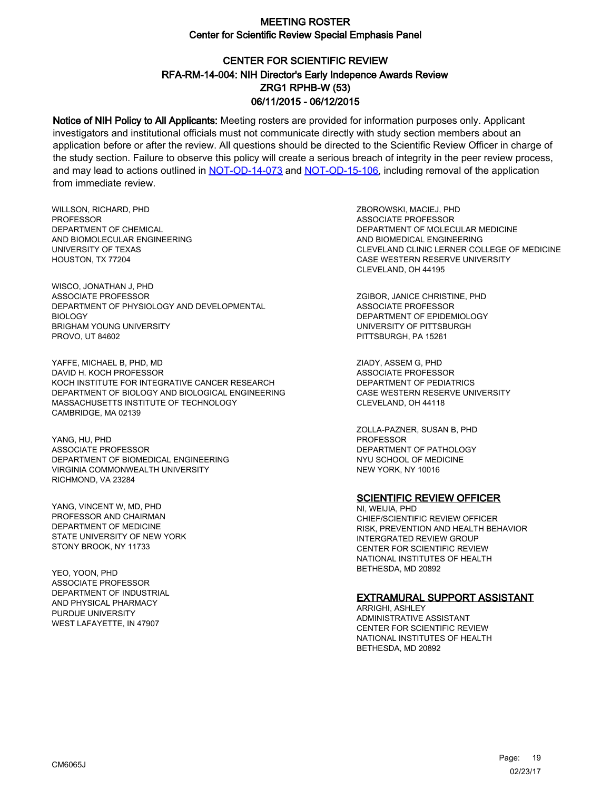# CENTER FOR SCIENTIFIC REVIEW ZRG1 RPHB-W (53) 06/11/2015 - 06/12/2015 RFA-RM-14-004: NIH Director's Early Indepence Awards Review

Notice of NIH Policy to All Applicants: Meeting rosters are provided for information purposes only. Applicant investigators and institutional officials must not communicate directly with study section members about an application before or after the review. All questions should be directed to the Scientific Review Officer in charge of the study section. Failure to observe this policy will create a serious breach of integrity in the peer review process, and may lead to actions outlined in [NOT-OD-14-073](https://grants.nih.gov/grants/guide/notice-files/NOT-OD-14-073.html) and [NOT-OD-15-106,](https://grants.nih.gov/grants/guide/notice-files/NOT-OD-15-106.html) including removal of the application from immediate review.

WILLSON, RICHARD, PHD PROFESSOR DEPARTMENT OF CHEMICAL AND BIOMOLECULAR ENGINEERING UNIVERSITY OF TEXAS HOUSTON, TX 77204

WISCO, JONATHAN J, PHD ASSOCIATE PROFESSOR DEPARTMENT OF PHYSIOLOGY AND DEVELOPMENTAL BIOLOGY BRIGHAM YOUNG UNIVERSITY PROVO, UT 84602

YAFFE, MICHAEL B, PHD, MD DAVID H. KOCH PROFESSOR KOCH INSTITUTE FOR INTEGRATIVE CANCER RESEARCH DEPARTMENT OF BIOLOGY AND BIOLOGICAL ENGINEERING MASSACHUSETTS INSTITUTE OF TECHNOLOGY CAMBRIDGE, MA 02139

YANG, HU, PHD ASSOCIATE PROFESSOR DEPARTMENT OF BIOMEDICAL ENGINEERING VIRGINIA COMMONWEALTH UNIVERSITY RICHMOND, VA 23284

YANG, VINCENT W, MD, PHD PROFESSOR AND CHAIRMAN DEPARTMENT OF MEDICINE STATE UNIVERSITY OF NEW YORK STONY BROOK, NY 11733

YEO, YOON, PHD ASSOCIATE PROFESSOR DEPARTMENT OF INDUSTRIAL AND PHYSICAL PHARMACY PURDUE UNIVERSITY WEST LAFAYETTE, IN 47907

ZBOROWSKI, MACIEJ, PHD ASSOCIATE PROFESSOR DEPARTMENT OF MOLECULAR MEDICINE AND BIOMEDICAL ENGINEERING CLEVELAND CLINIC LERNER COLLEGE OF MEDICINE CASE WESTERN RESERVE UNIVERSITY CLEVELAND, OH 44195

ZGIBOR, JANICE CHRISTINE, PHD ASSOCIATE PROFESSOR DEPARTMENT OF EPIDEMIOLOGY UNIVERSITY OF PITTSBURGH PITTSBURGH, PA 15261

ZIADY, ASSEM G, PHD ASSOCIATE PROFESSOR DEPARTMENT OF PEDIATRICS CASE WESTERN RESERVE UNIVERSITY CLEVELAND, OH 44118

ZOLLA-PAZNER, SUSAN B, PHD PROFESSOR DEPARTMENT OF PATHOLOGY NYU SCHOOL OF MEDICINE NEW YORK, NY 10016

#### SCIENTIFIC REVIEW OFFICER

NI, WEIJIA, PHD CHIEF/SCIENTIFIC REVIEW OFFICER RISK, PREVENTION AND HEALTH BEHAVIOR INTERGRATED REVIEW GROUP CENTER FOR SCIENTIFIC REVIEW NATIONAL INSTITUTES OF HEALTH BETHESDA, MD 20892

### EXTRAMURAL SUPPORT ASSISTANT

ARRIGHI, ASHLEY ADMINISTRATIVE ASSISTANT CENTER FOR SCIENTIFIC REVIEW NATIONAL INSTITUTES OF HEALTH BETHESDA, MD 20892